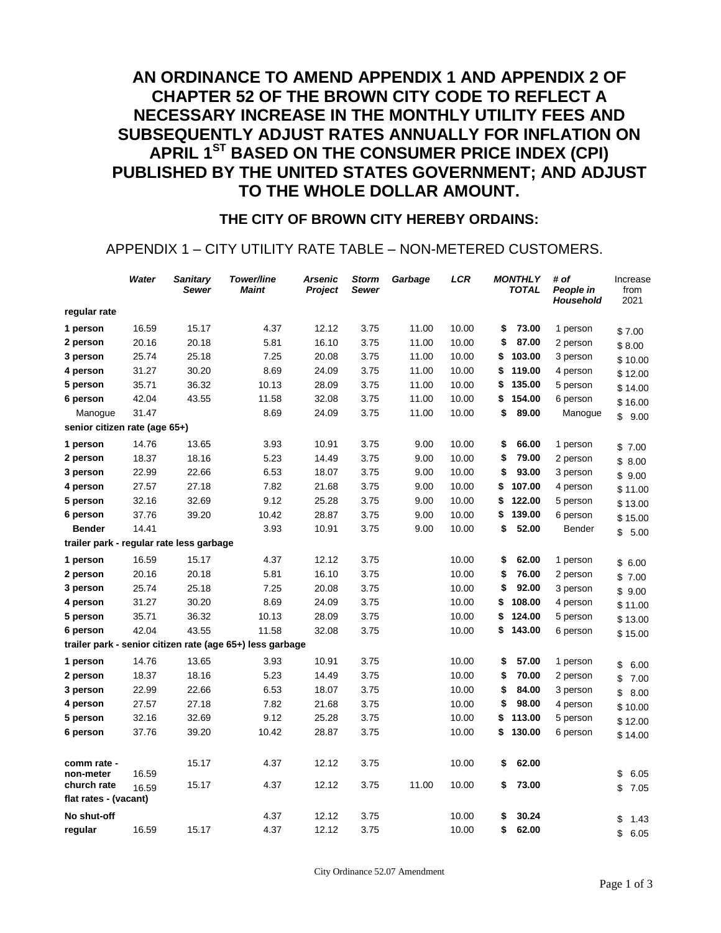# **AN ORDINANCE TO AMEND APPENDIX 1 AND APPENDIX 2 OF CHAPTER 52 OF THE BROWN CITY CODE TO REFLECT A NECESSARY INCREASE IN THE MONTHLY UTILITY FEES AND SUBSEQUENTLY ADJUST RATES ANNUALLY FOR INFLATION ON APRIL 1ST BASED ON THE CONSUMER PRICE INDEX (CPI) PUBLISHED BY THE UNITED STATES GOVERNMENT; AND ADJUST TO THE WHOLE DOLLAR AMOUNT.**

#### **THE CITY OF BROWN CITY HEREBY ORDAINS:**

#### APPENDIX 1 – CITY UTILITY RATE TABLE – NON-METERED CUSTOMERS.

|                                                           | Water | <b>Sanitary</b><br>Sewer | Tower/line<br><b>Maint</b> | <b>Arsenic</b><br>Project | <b>Storm</b><br>Sewer | Garbage | LCR   | <b>MONTHLY</b><br><b>TOTAL</b> | # of<br>People in<br>Household | Increase<br>from<br>2021 |
|-----------------------------------------------------------|-------|--------------------------|----------------------------|---------------------------|-----------------------|---------|-------|--------------------------------|--------------------------------|--------------------------|
| regular rate                                              |       |                          |                            |                           |                       |         |       |                                |                                |                          |
| 1 person                                                  | 16.59 | 15.17                    | 4.37                       | 12.12                     | 3.75                  | 11.00   | 10.00 | \$<br>73.00                    | 1 person                       | \$7.00                   |
| 2 person                                                  | 20.16 | 20.18                    | 5.81                       | 16.10                     | 3.75                  | 11.00   | 10.00 | \$<br>87.00                    | 2 person                       | \$8.00                   |
| 3 person                                                  | 25.74 | 25.18                    | 7.25                       | 20.08                     | 3.75                  | 11.00   | 10.00 | \$<br>103.00                   | 3 person                       | \$10.00                  |
| 4 person                                                  | 31.27 | 30.20                    | 8.69                       | 24.09                     | 3.75                  | 11.00   | 10.00 | \$<br>119.00                   | 4 person                       | \$12.00                  |
| 5 person                                                  | 35.71 | 36.32                    | 10.13                      | 28.09                     | 3.75                  | 11.00   | 10.00 | \$<br>135.00                   | 5 person                       | \$14.00                  |
| 6 person                                                  | 42.04 | 43.55                    | 11.58                      | 32.08                     | 3.75                  | 11.00   | 10.00 | \$<br>154.00                   | 6 person                       | \$16.00                  |
| Manogue                                                   | 31.47 |                          | 8.69                       | 24.09                     | 3.75                  | 11.00   | 10.00 | \$<br>89.00                    | Manogue                        | \$<br>9.00               |
| senior citizen rate (age 65+)                             |       |                          |                            |                           |                       |         |       |                                |                                |                          |
| 1 person                                                  | 14.76 | 13.65                    | 3.93                       | 10.91                     | 3.75                  | 9.00    | 10.00 | \$<br>66.00                    | 1 person                       | \$7.00                   |
| 2 person                                                  | 18.37 | 18.16                    | 5.23                       | 14.49                     | 3.75                  | 9.00    | 10.00 | \$<br>79.00                    | 2 person                       | \$8.00                   |
| 3 person                                                  | 22.99 | 22.66                    | 6.53                       | 18.07                     | 3.75                  | 9.00    | 10.00 | \$<br>93.00                    | 3 person                       | \$9.00                   |
| 4 person                                                  | 27.57 | 27.18                    | 7.82                       | 21.68                     | 3.75                  | 9.00    | 10.00 | 107.00<br>\$                   | 4 person                       | \$11.00                  |
| 5 person                                                  | 32.16 | 32.69                    | 9.12                       | 25.28                     | 3.75                  | 9.00    | 10.00 | \$<br>122.00                   | 5 person                       | \$13.00                  |
| 6 person                                                  | 37.76 | 39.20                    | 10.42                      | 28.87                     | 3.75                  | 9.00    | 10.00 | \$<br>139.00                   | 6 person                       | \$15.00                  |
| <b>Bender</b>                                             | 14.41 |                          | 3.93                       | 10.91                     | 3.75                  | 9.00    | 10.00 | \$<br>52.00                    | Bender                         | \$<br>5.00               |
| trailer park - regular rate less garbage                  |       |                          |                            |                           |                       |         |       |                                |                                |                          |
| 1 person                                                  | 16.59 | 15.17                    | 4.37                       | 12.12                     | 3.75                  |         | 10.00 | \$<br>62.00                    | 1 person                       | \$6.00                   |
| 2 person                                                  | 20.16 | 20.18                    | 5.81                       | 16.10                     | 3.75                  |         | 10.00 | \$<br>76.00                    | 2 person                       | \$7.00                   |
| 3 person                                                  | 25.74 | 25.18                    | 7.25                       | 20.08                     | 3.75                  |         | 10.00 | \$<br>92.00                    | 3 person                       | \$9.00                   |
| 4 person                                                  | 31.27 | 30.20                    | 8.69                       | 24.09                     | 3.75                  |         | 10.00 | 108.00<br>\$                   | 4 person                       | \$11.00                  |
| 5 person                                                  | 35.71 | 36.32                    | 10.13                      | 28.09                     | 3.75                  |         | 10.00 | \$<br>124.00                   | 5 person                       | \$13.00                  |
| 6 person                                                  | 42.04 | 43.55                    | 11.58                      | 32.08                     | 3.75                  |         | 10.00 | 143.00<br>\$                   | 6 person                       | \$15.00                  |
| trailer park - senior citizen rate (age 65+) less garbage |       |                          |                            |                           |                       |         |       |                                |                                |                          |
| 1 person                                                  | 14.76 | 13.65                    | 3.93                       | 10.91                     | 3.75                  |         | 10.00 | \$<br>57.00                    | 1 person                       | \$<br>6.00               |
| 2 person                                                  | 18.37 | 18.16                    | 5.23                       | 14.49                     | 3.75                  |         | 10.00 | \$<br>70.00                    | 2 person                       | \$<br>7.00               |
| 3 person                                                  | 22.99 | 22.66                    | 6.53                       | 18.07                     | 3.75                  |         | 10.00 | \$<br>84.00                    | 3 person                       | \$<br>8.00               |
| 4 person                                                  | 27.57 | 27.18                    | 7.82                       | 21.68                     | 3.75                  |         | 10.00 | 98.00<br>\$                    | 4 person                       | \$10.00                  |
| 5 person                                                  | 32.16 | 32.69                    | 9.12                       | 25.28                     | 3.75                  |         | 10.00 | 113.00<br>\$                   | 5 person                       | \$12.00                  |
| 6 person                                                  | 37.76 | 39.20                    | 10.42                      | 28.87                     | 3.75                  |         | 10.00 | \$<br>130.00                   | 6 person                       | \$14.00                  |
|                                                           |       |                          |                            |                           |                       |         |       |                                |                                |                          |
| comm rate -                                               |       | 15.17                    | 4.37                       | 12.12                     | 3.75                  |         | 10.00 | 62.00<br>\$                    |                                |                          |
| non-meter<br>church rate                                  | 16.59 | 15.17                    | 4.37                       | 12.12                     | 3.75                  | 11.00   | 10.00 | 73.00<br>\$                    |                                | \$<br>6.05               |
| flat rates - (vacant)                                     | 16.59 |                          |                            |                           |                       |         |       |                                |                                | \$<br>7.05               |
| No shut-off                                               |       |                          | 4.37                       | 12.12                     | 3.75                  |         | 10.00 | 30.24<br>\$                    |                                | \$<br>1.43               |
| regular                                                   | 16.59 | 15.17                    | 4.37                       | 12.12                     | 3.75                  |         | 10.00 | 62.00<br>\$                    |                                | \$<br>6.05               |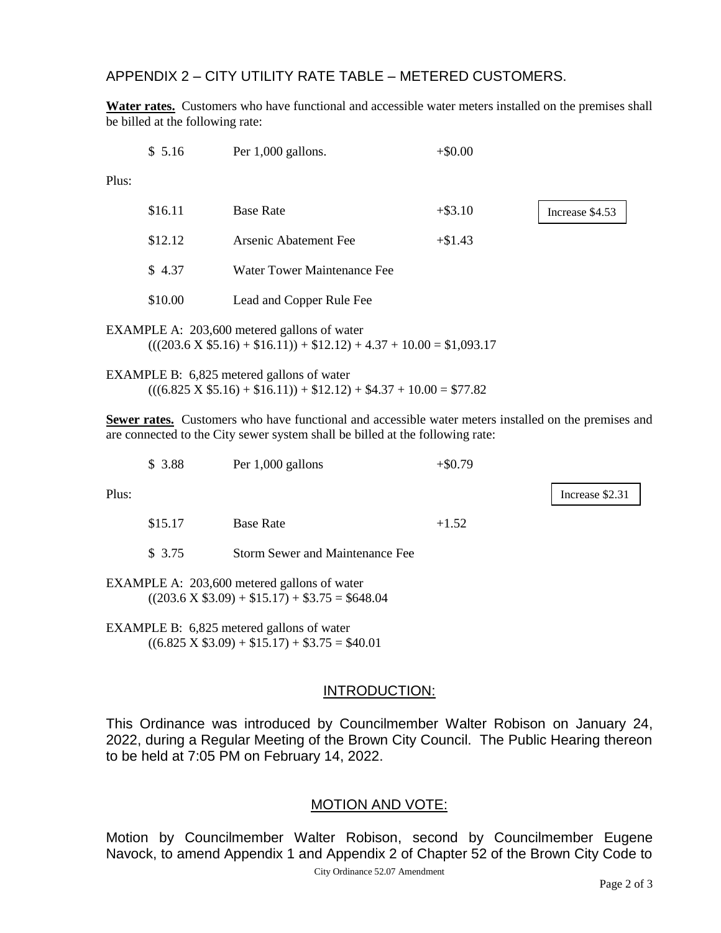APPENDIX 2 – CITY UTILITY RATE TABLE – METERED CUSTOMERS.

**Water rates.** Customers who have functional and accessible water meters installed on the premises shall be billed at the following rate:

|                                                                                                                         | \$5.16  | Per 1,000 gallons.          | $+\$0.00$  |                 |  |  |
|-------------------------------------------------------------------------------------------------------------------------|---------|-----------------------------|------------|-----------------|--|--|
| Plus:                                                                                                                   |         |                             |            |                 |  |  |
|                                                                                                                         | \$16.11 | <b>Base Rate</b>            | $+$ \$3.10 | Increase \$4.53 |  |  |
|                                                                                                                         | \$12.12 | Arsenic Abatement Fee       | $+\$1.43$  |                 |  |  |
|                                                                                                                         | \$4.37  | Water Tower Maintenance Fee |            |                 |  |  |
|                                                                                                                         | \$10.00 | Lead and Copper Rule Fee    |            |                 |  |  |
| EXAMPLE A: 203,600 metered gallons of water<br>$(((203.6 \times $5.16) + $16.11)) + $12.12) + 4.37 + 10.00 = $1,093.17$ |         |                             |            |                 |  |  |

EXAMPLE B: 6,825 metered gallons of water  $(((6.825 \text{ X } $5.16) + $16.11)) + $12.12) + $4.37 + 10.00 = $77.82$ 

**Sewer rates.** Customers who have functional and accessible water meters installed on the premises and are connected to the City sewer system shall be billed at the following rate:

|       | \$3.88  | Per 1,000 gallons                                                                                      | $+ $0.79$ |                 |
|-------|---------|--------------------------------------------------------------------------------------------------------|-----------|-----------------|
| Plus: |         |                                                                                                        |           | Increase \$2.31 |
|       | \$15.17 | <b>Base Rate</b>                                                                                       | $+1.52$   |                 |
|       | \$3.75  | <b>Storm Sewer and Maintenance Fee</b>                                                                 |           |                 |
|       |         | EXAMPLE A: 203,600 metered gallons of water<br>$((203.6 \text{ X } $3.09) + $15.17) + $3.75 = $648.04$ |           |                 |

EXAMPLE B: 6,825 metered gallons of water  $((6.825 \text{ X } $3.09) + $15.17) + $3.75 = $40.01$ 

### INTRODUCTION:

This Ordinance was introduced by Councilmember Walter Robison on January 24, 2022, during a Regular Meeting of the Brown City Council. The Public Hearing thereon to be held at 7:05 PM on February 14, 2022.

### MOTION AND VOTE:

Motion by Councilmember Walter Robison, second by Councilmember Eugene Navock, to amend Appendix 1 and Appendix 2 of Chapter 52 of the Brown City Code to